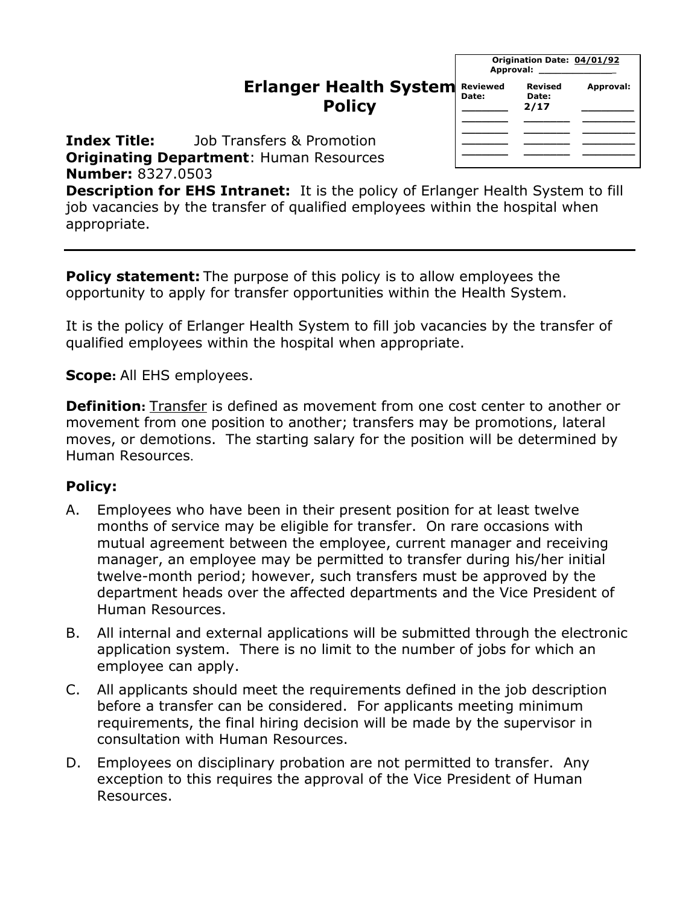## **Erlanger Health System Policy**

| Origination Date: 04/01/92<br>Approval: Approval: |                          |           |  |
|---------------------------------------------------|--------------------------|-----------|--|
| Reviewed<br>Date:                                 | Revised<br>Date:<br>2/17 | Approval: |  |
|                                                   |                          |           |  |
|                                                   |                          |           |  |
|                                                   |                          |           |  |
|                                                   |                          |           |  |

**Index Title:** Job Transfers & Promotion **Originating Department**: Human Resources **Number:** 8327.0503

**Description for EHS Intranet:** It is the policy of Erlanger Health System to fill job vacancies by the transfer of qualified employees within the hospital when appropriate.

**Policy statement:** The purpose of this policy is to allow employees the opportunity to apply for transfer opportunities within the Health System.

It is the policy of Erlanger Health System to fill job vacancies by the transfer of qualified employees within the hospital when appropriate.

**Scope:** All EHS employees.

**Definition:** Transfer is defined as movement from one cost center to another or movement from one position to another; transfers may be promotions, lateral moves, or demotions. The starting salary for the position will be determined by Human Resources.

## **Policy:**

- A. Employees who have been in their present position for at least twelve months of service may be eligible for transfer. On rare occasions with mutual agreement between the employee, current manager and receiving manager, an employee may be permitted to transfer during his/her initial twelve-month period; however, such transfers must be approved by the department heads over the affected departments and the Vice President of Human Resources.
- B. All internal and external applications will be submitted through the electronic application system. There is no limit to the number of jobs for which an employee can apply.
- C. All applicants should meet the requirements defined in the job description before a transfer can be considered. For applicants meeting minimum requirements, the final hiring decision will be made by the supervisor in consultation with Human Resources.
- D. Employees on disciplinary probation are not permitted to transfer. Any exception to this requires the approval of the Vice President of Human Resources.